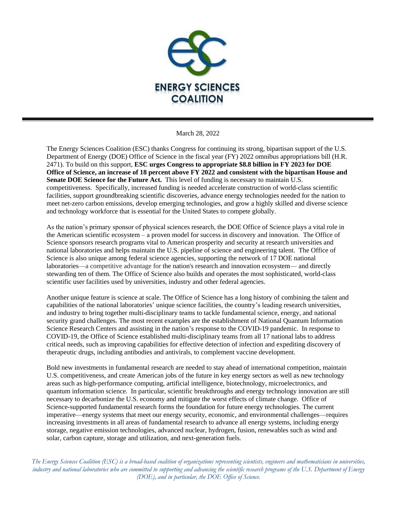

March 28, 2022

The Energy Sciences Coalition (ESC) thanks Congress for continuing its strong, bipartisan support of the U.S. Department of Energy (DOE) Office of Science in the fiscal year (FY) 2022 omnibus appropriations bill (H.R. 2471). To build on this support, **ESC urges Congress to appropriate \$8.8 billion in FY 2023 for DOE Office of Science, an increase of 18 percent above FY 2022 and consistent with the bipartisan House and Senate DOE Science for the Future Act.** This level of funding is necessary to maintain U.S. competitiveness. Specifically, increased funding is needed accelerate construction of world-class scientific facilities, support groundbreaking scientific discoveries, advance energy technologies needed for the nation to meet net-zero carbon emissions, develop emerging technologies, and grow a highly skilled and diverse science and technology workforce that is essential for the United States to compete globally.

As the nation's primary sponsor of physical sciences research, the DOE Office of Science plays a vital role in the American scientific ecosystem – a proven model for success in discovery and innovation. The Office of Science sponsors research programs vital to American prosperity and security at research universities and national laboratories and helps maintain the U.S. pipeline of science and engineering talent. The Office of Science is also unique among federal science agencies, supporting the network of 17 DOE national laboratories—a competitive advantage for the nation's research and innovation ecosystem— and directly stewarding ten of them. The Office of Science also builds and operates the most sophisticated, world-class scientific user facilities used by universities, industry and other federal agencies.

Another unique feature is science at scale. The Office of Science has a long history of combining the talent and capabilities of the national laboratories' unique science facilities, the country's leading research universities, and industry to bring together multi-disciplinary teams to tackle fundamental science, energy, and national security grand challenges. The most recent examples are the establishment of National Quantum Information Science Research Centers and assisting in the nation's response to the COVID-19 pandemic. In response to COVID-19, the Office of Science established multi-disciplinary teams from all 17 national labs to address critical needs, such as improving capabilities for effective detection of infection and expediting discovery of therapeutic drugs, including antibodies and antivirals, to complement vaccine development.

Bold new investments in fundamental research are needed to stay ahead of international competition, maintain U.S. competitiveness, and create American jobs of the future in key energy sectors as well as new technology areas such as high-performance computing, artificial intelligence, biotechnology, microelectronics, and quantum information science. In particular, scientific breakthroughs and energy technology innovation are still necessary to decarbonize the U.S. economy and mitigate the worst effects of climate change. Office of Science-supported fundamental research forms the foundation for future energy technologies. The current imperative—energy systems that meet our energy security, economic, and environmental challenges—requires increasing investments in all areas of fundamental research to advance all energy systems, including energy storage, negative emission technologies, advanced nuclear, hydrogen, fusion, renewables such as wind and solar, carbon capture, storage and utilization, and next-generation fuels.

*The Energy Sciences Coalition (ESC) is a broad-based coalition of organizations representing scientists, engineers and mathematicians in universities, industry and national laboratories who are committed to supporting and advancing the scientific research programs of the U.S. Department of Energy (DOE), and in particular, the DOE Office of Science.*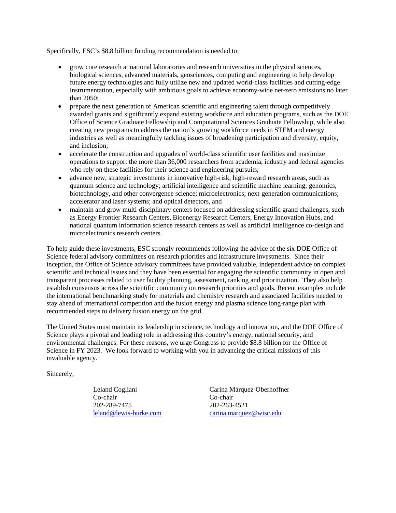Specifically, ESC's \$8.8 billion funding recommendation is needed to:

- grow core research at national laboratories and research universities in the physical sciences, biological sciences, advanced materials, geosciences, computing and engineering to help develop future energy technologies and fully utilize new and updated world-class facilities and cutting-edge instrumentation, especially with ambitious goals to achieve economy-wide net-zero emissions no later than 2050;
- prepare the next generation of American scientific and engineering talent through competitively awarded grants and significantly expand existing workforce and education programs, such as the DOE Office of Science Graduate Fellowship and Computational Sciences Graduate Fellowship, while also creating new programs to address the nation's growing workforce needs in STEM and energy industries as well as meaningfully tackling issues of broadening participation and diversity, equity, and inclusion;
- accelerate the construction and upgrades of world-class scientific user facilities and maximize operations to support the more than 36,000 researchers from academia, industry and federal agencies who rely on these facilities for their science and engineering pursuits;
- advance new, strategic investments in innovative high-risk, high-reward research areas, such as quantum science and technology; artificial intelligence and scientific machine learning; genomics, biotechnology, and other convergence science; microelectronics; next-generation communications; accelerator and laser systems; and optical detectors, and
- maintain and grow multi-disciplinary centers focused on addressing scientific grand challenges, such as Energy Frontier Research Centers, Bioenergy Research Centers, Energy Innovation Hubs, and national quantum information science research centers as well as artificial intelligence co-design and microelectronics research centers.

To help guide these investments, ESC strongly recommends following the advice of the six DOE Office of Science federal advisory committees on research priorities and infrastructure investments. Since their inception, the Office of Science advisory committees have provided valuable, independent advice on complex scientific and technical issues and they have been essential for engaging the scientific community in open and transparent processes related to user facility planning, assessment, ranking and prioritization. They also help establish consensus across the scientific community on research priorities and goals. Recent examples include the international benchmarking study for materials and chemistry research and associated facilities needed to stay ahead of international competition and the fusion energy and plasma science long-range plan with recommended steps to delivery fusion energy on the grid.

The United States must maintain its leadership in science, technology and innovation, and the DOE Office of Science plays a pivotal and leading role in addressing this country's energy, national security, and environmental challenges. For these reasons, we urge Congress to provide \$8.8 billion for the Office of Science in FY 2023. We look forward to working with you in advancing the critical missions of this invaluable agency.

Sincerely,

Co-chair Co-chair 202-289-7475 202-263-4521

Leland Cogliani Carina Márquez-Oberhoffner [leland@lewis-burke.com](mailto:leland@lewis-burke.com) [carina.marquez@wisc.edu](mailto:carina.marquez@wisc.edu)